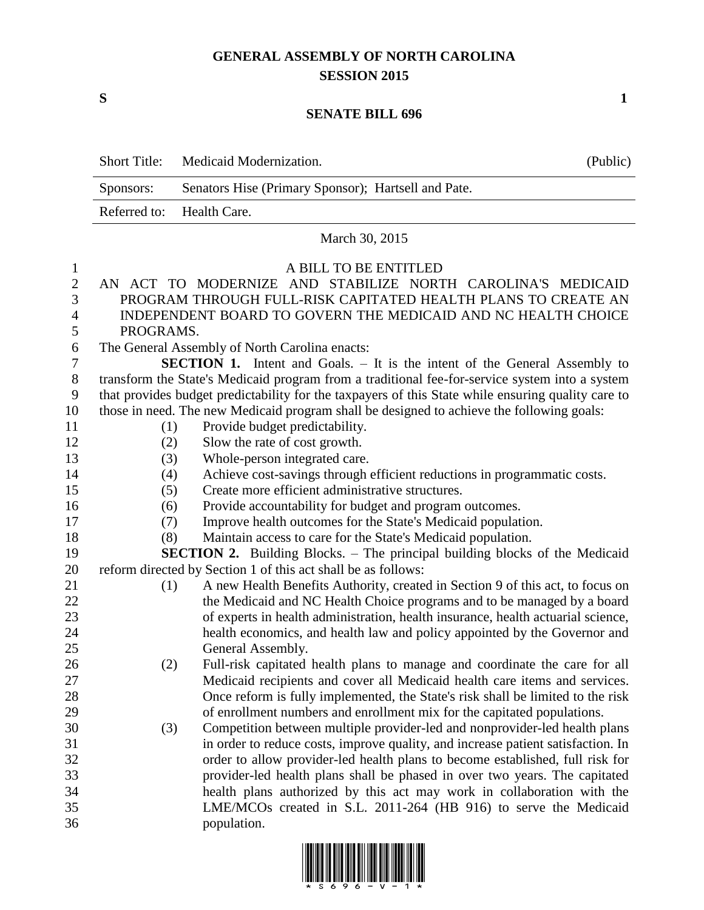# **GENERAL ASSEMBLY OF NORTH CAROLINA SESSION 2015**

**S 1**

#### **SENATE BILL 696**

|                | <b>Short Title:</b> | Medicaid Modernization.                                                                                                                                     | (Public) |
|----------------|---------------------|-------------------------------------------------------------------------------------------------------------------------------------------------------------|----------|
|                | Sponsors:           | Senators Hise (Primary Sponsor); Hartsell and Pate.                                                                                                         |          |
|                | Referred to:        | Health Care.                                                                                                                                                |          |
|                |                     | March 30, 2015                                                                                                                                              |          |
| 1              |                     | A BILL TO BE ENTITLED                                                                                                                                       |          |
| $\overline{2}$ |                     | AN ACT TO MODERNIZE AND STABILIZE NORTH CAROLINA'S MEDICAID                                                                                                 |          |
| 3              |                     | PROGRAM THROUGH FULL-RISK CAPITATED HEALTH PLANS TO CREATE AN                                                                                               |          |
| 4              |                     | INDEPENDENT BOARD TO GOVERN THE MEDICAID AND NC HEALTH CHOICE                                                                                               |          |
| 5              | PROGRAMS.           |                                                                                                                                                             |          |
| 6              |                     | The General Assembly of North Carolina enacts:                                                                                                              |          |
| 7              |                     | <b>SECTION 1.</b> Intent and Goals. – It is the intent of the General Assembly to                                                                           |          |
| 8              |                     | transform the State's Medicaid program from a traditional fee-for-service system into a system                                                              |          |
| 9              |                     | that provides budget predictability for the taxpayers of this State while ensuring quality care to                                                          |          |
| 10             |                     | those in need. The new Medicaid program shall be designed to achieve the following goals:                                                                   |          |
| 11             | (1)                 | Provide budget predictability.                                                                                                                              |          |
| 12             | (2)                 | Slow the rate of cost growth.                                                                                                                               |          |
| 13             | (3)                 | Whole-person integrated care.                                                                                                                               |          |
| 14             | (4)                 | Achieve cost-savings through efficient reductions in programmatic costs.                                                                                    |          |
| 15             | (5)                 | Create more efficient administrative structures.                                                                                                            |          |
| 16             | (6)                 | Provide accountability for budget and program outcomes.                                                                                                     |          |
| 17             | (7)                 | Improve health outcomes for the State's Medicaid population.                                                                                                |          |
| 18             | (8)                 | Maintain access to care for the State's Medicaid population.                                                                                                |          |
| 19             |                     | <b>SECTION 2.</b> Building Blocks. – The principal building blocks of the Medicaid                                                                          |          |
| 20             |                     | reform directed by Section 1 of this act shall be as follows:                                                                                               |          |
| 21             | (1)                 | A new Health Benefits Authority, created in Section 9 of this act, to focus on                                                                              |          |
| 22             |                     | the Medicaid and NC Health Choice programs and to be managed by a board                                                                                     |          |
| 23             |                     | of experts in health administration, health insurance, health actuarial science,                                                                            |          |
| 24             |                     | health economics, and health law and policy appointed by the Governor and                                                                                   |          |
| 25             |                     | General Assembly.                                                                                                                                           |          |
| 26             | (2)                 | Full-risk capitated health plans to manage and coordinate the care for all                                                                                  |          |
| 27             |                     | Medicaid recipients and cover all Medicaid health care items and services.                                                                                  |          |
| 28             |                     | Once reform is fully implemented, the State's risk shall be limited to the risk                                                                             |          |
| 29             |                     | of enrollment numbers and enrollment mix for the capitated populations.                                                                                     |          |
| 30             | (3)                 | Competition between multiple provider-led and nonprovider-led health plans                                                                                  |          |
| 31             |                     | in order to reduce costs, improve quality, and increase patient satisfaction. In                                                                            |          |
| 32             |                     | order to allow provider-led health plans to become established, full risk for<br>provider-led health plans shall be phased in over two years. The capitated |          |
| 33<br>34       |                     | health plans authorized by this act may work in collaboration with the                                                                                      |          |
| 35             |                     | LME/MCOs created in S.L. 2011-264 (HB 916) to serve the Medicaid                                                                                            |          |
| 36             |                     | population.                                                                                                                                                 |          |

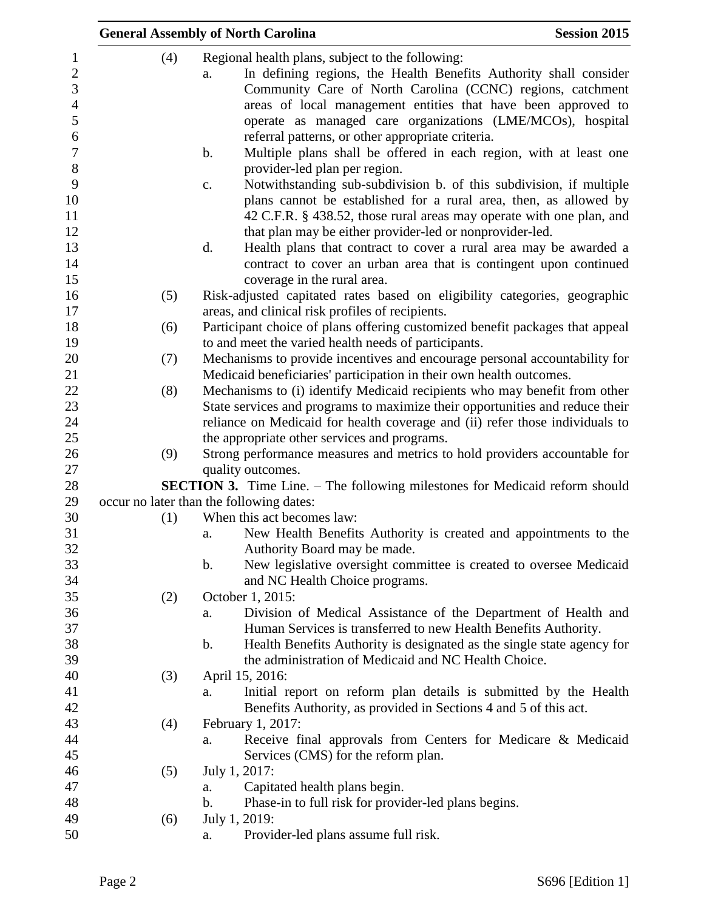|     | <b>General Assembly of North Carolina</b>                                                                                                                                                                                                                                                                                                                                                                                                                                                            | <b>Session 2015</b> |
|-----|------------------------------------------------------------------------------------------------------------------------------------------------------------------------------------------------------------------------------------------------------------------------------------------------------------------------------------------------------------------------------------------------------------------------------------------------------------------------------------------------------|---------------------|
| (4) | Regional health plans, subject to the following:<br>In defining regions, the Health Benefits Authority shall consider<br>a.<br>Community Care of North Carolina (CCNC) regions, catchment<br>areas of local management entities that have been approved to<br>operate as managed care organizations (LME/MCOs), hospital<br>referral patterns, or other appropriate criteria.<br>$\mathbf b$ .<br>Multiple plans shall be offered in each region, with at least one<br>provider-led plan per region. |                     |
|     | Notwithstanding sub-subdivision b. of this subdivision, if multiple<br>$\mathbf{c}$ .<br>plans cannot be established for a rural area, then, as allowed by<br>42 C.F.R. § 438.52, those rural areas may operate with one plan, and<br>that plan may be either provider-led or nonprovider-led.<br>d.<br>Health plans that contract to cover a rural area may be awarded a                                                                                                                            |                     |
|     | contract to cover an urban area that is contingent upon continued<br>coverage in the rural area.                                                                                                                                                                                                                                                                                                                                                                                                     |                     |
| (5) | Risk-adjusted capitated rates based on eligibility categories, geographic<br>areas, and clinical risk profiles of recipients.                                                                                                                                                                                                                                                                                                                                                                        |                     |
| (6) | Participant choice of plans offering customized benefit packages that appeal<br>to and meet the varied health needs of participants.                                                                                                                                                                                                                                                                                                                                                                 |                     |
| (7) | Mechanisms to provide incentives and encourage personal accountability for<br>Medicaid beneficiaries' participation in their own health outcomes.                                                                                                                                                                                                                                                                                                                                                    |                     |
| (8) | Mechanisms to (i) identify Medicaid recipients who may benefit from other<br>State services and programs to maximize their opportunities and reduce their<br>reliance on Medicaid for health coverage and (ii) refer those individuals to<br>the appropriate other services and programs.                                                                                                                                                                                                            |                     |
| (9) | Strong performance measures and metrics to hold providers accountable for<br>quality outcomes.                                                                                                                                                                                                                                                                                                                                                                                                       |                     |
|     | <b>SECTION 3.</b> Time Line. – The following milestones for Medicaid reform should<br>occur no later than the following dates:                                                                                                                                                                                                                                                                                                                                                                       |                     |
| (1) | When this act becomes law:                                                                                                                                                                                                                                                                                                                                                                                                                                                                           |                     |
|     | New Health Benefits Authority is created and appointments to the<br>a.<br>Authority Board may be made.                                                                                                                                                                                                                                                                                                                                                                                               |                     |
|     | New legislative oversight committee is created to oversee Medicaid<br>b.<br>and NC Health Choice programs.                                                                                                                                                                                                                                                                                                                                                                                           |                     |
| (2) | October 1, 2015:                                                                                                                                                                                                                                                                                                                                                                                                                                                                                     |                     |
|     | Division of Medical Assistance of the Department of Health and<br>a.                                                                                                                                                                                                                                                                                                                                                                                                                                 |                     |
|     | Human Services is transferred to new Health Benefits Authority.                                                                                                                                                                                                                                                                                                                                                                                                                                      |                     |
|     | Health Benefits Authority is designated as the single state agency for<br>b.                                                                                                                                                                                                                                                                                                                                                                                                                         |                     |
|     | the administration of Medicaid and NC Health Choice.                                                                                                                                                                                                                                                                                                                                                                                                                                                 |                     |
| (3) | April 15, 2016:                                                                                                                                                                                                                                                                                                                                                                                                                                                                                      |                     |
|     | Initial report on reform plan details is submitted by the Health<br>a.                                                                                                                                                                                                                                                                                                                                                                                                                               |                     |
| (4) | Benefits Authority, as provided in Sections 4 and 5 of this act.<br>February 1, 2017:                                                                                                                                                                                                                                                                                                                                                                                                                |                     |
|     | Receive final approvals from Centers for Medicare & Medicaid<br>a.                                                                                                                                                                                                                                                                                                                                                                                                                                   |                     |
|     | Services (CMS) for the reform plan.                                                                                                                                                                                                                                                                                                                                                                                                                                                                  |                     |
| (5) | July 1, 2017:                                                                                                                                                                                                                                                                                                                                                                                                                                                                                        |                     |
|     | Capitated health plans begin.<br>a.                                                                                                                                                                                                                                                                                                                                                                                                                                                                  |                     |
|     | Phase-in to full risk for provider-led plans begins.<br>b.                                                                                                                                                                                                                                                                                                                                                                                                                                           |                     |
| (6) | July 1, 2019:                                                                                                                                                                                                                                                                                                                                                                                                                                                                                        |                     |
|     | Provider-led plans assume full risk.<br>a.                                                                                                                                                                                                                                                                                                                                                                                                                                                           |                     |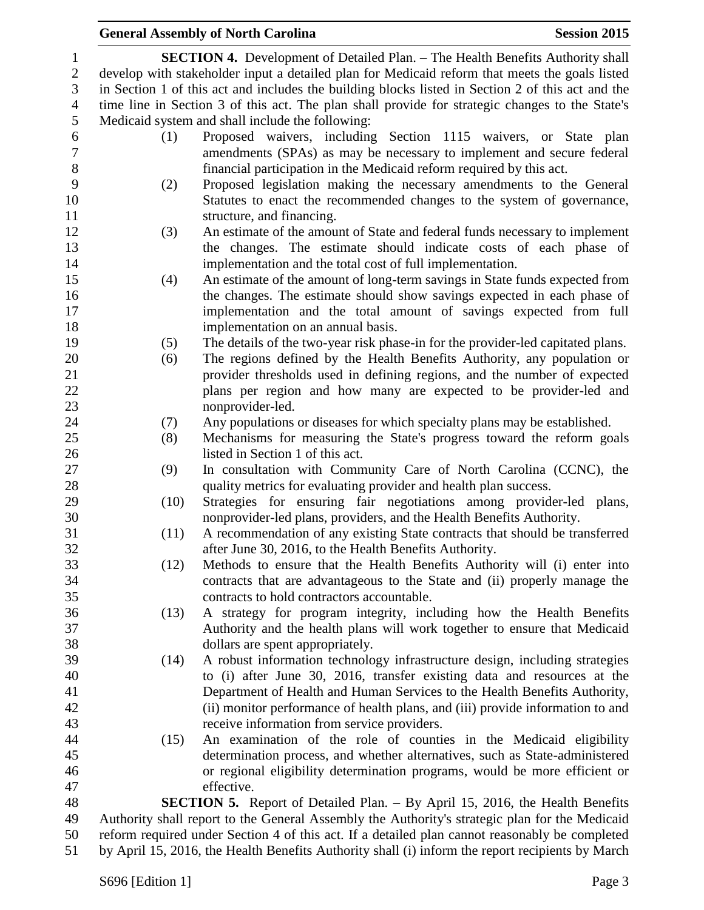## **General Assembly of North Carolina Session 2015 SECTION 4.** Development of Detailed Plan. – The Health Benefits Authority shall develop with stakeholder input a detailed plan for Medicaid reform that meets the goals listed in Section 1 of this act and includes the building blocks listed in Section 2 of this act and the time line in Section 3 of this act. The plan shall provide for strategic changes to the State's Medicaid system and shall include the following: (1) Proposed waivers, including Section 1115 waivers, or State plan amendments (SPAs) as may be necessary to implement and secure federal financial participation in the Medicaid reform required by this act. (2) Proposed legislation making the necessary amendments to the General Statutes to enact the recommended changes to the system of governance, 11 structure, and financing. (3) An estimate of the amount of State and federal funds necessary to implement the changes. The estimate should indicate costs of each phase of implementation and the total cost of full implementation. (4) An estimate of the amount of long-term savings in State funds expected from the changes. The estimate should show savings expected in each phase of implementation and the total amount of savings expected from full implementation on an annual basis. (5) The details of the two-year risk phase-in for the provider-led capitated plans. (6) The regions defined by the Health Benefits Authority, any population or provider thresholds used in defining regions, and the number of expected plans per region and how many are expected to be provider-led and nonprovider-led. (7) Any populations or diseases for which specialty plans may be established. (8) Mechanisms for measuring the State's progress toward the reform goals listed in Section 1 of this act. (9) In consultation with Community Care of North Carolina (CCNC), the 28 quality metrics for evaluating provider and health plan success. (10) Strategies for ensuring fair negotiations among provider-led plans, nonprovider-led plans, providers, and the Health Benefits Authority. (11) A recommendation of any existing State contracts that should be transferred after June 30, 2016, to the Health Benefits Authority. (12) Methods to ensure that the Health Benefits Authority will (i) enter into contracts that are advantageous to the State and (ii) properly manage the contracts to hold contractors accountable. (13) A strategy for program integrity, including how the Health Benefits Authority and the health plans will work together to ensure that Medicaid dollars are spent appropriately. (14) A robust information technology infrastructure design, including strategies to (i) after June 30, 2016, transfer existing data and resources at the Department of Health and Human Services to the Health Benefits Authority, (ii) monitor performance of health plans, and (iii) provide information to and receive information from service providers. (15) An examination of the role of counties in the Medicaid eligibility determination process, and whether alternatives, such as State-administered or regional eligibility determination programs, would be more efficient or effective. **SECTION 5.** Report of Detailed Plan. – By April 15, 2016, the Health Benefits Authority shall report to the General Assembly the Authority's strategic plan for the Medicaid reform required under Section 4 of this act. If a detailed plan cannot reasonably be completed by April 15, 2016, the Health Benefits Authority shall (i) inform the report recipients by March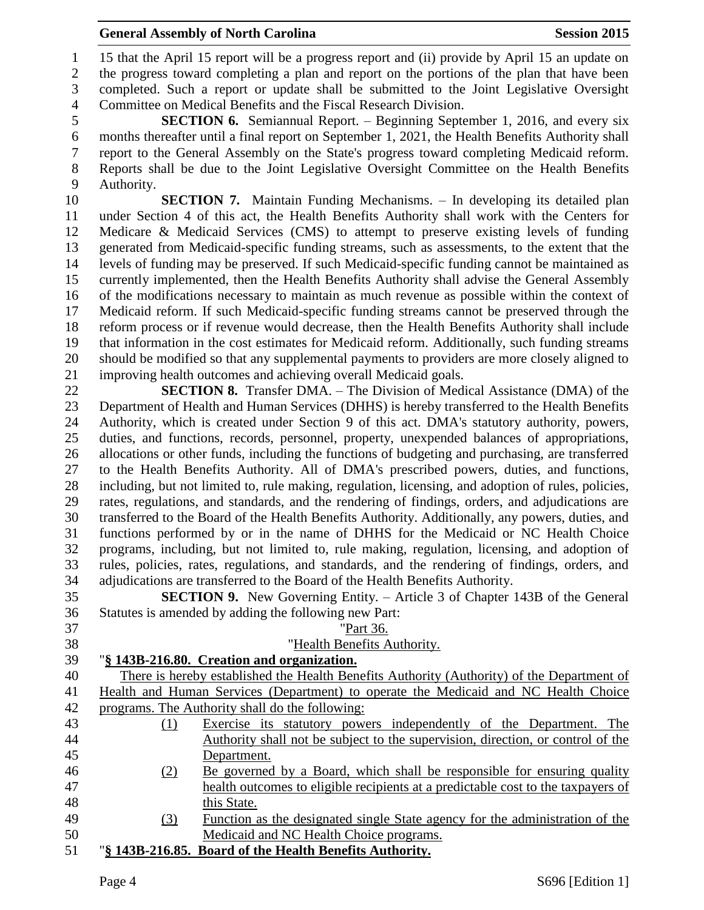### **General Assembly of North Carolina Session 2015**

 15 that the April 15 report will be a progress report and (ii) provide by April 15 an update on the progress toward completing a plan and report on the portions of the plan that have been completed. Such a report or update shall be submitted to the Joint Legislative Oversight Committee on Medical Benefits and the Fiscal Research Division.

 **SECTION 6.** Semiannual Report. – Beginning September 1, 2016, and every six months thereafter until a final report on September 1, 2021, the Health Benefits Authority shall report to the General Assembly on the State's progress toward completing Medicaid reform. Reports shall be due to the Joint Legislative Oversight Committee on the Health Benefits Authority.

 **SECTION 7.** Maintain Funding Mechanisms. – In developing its detailed plan under Section 4 of this act, the Health Benefits Authority shall work with the Centers for Medicare & Medicaid Services (CMS) to attempt to preserve existing levels of funding generated from Medicaid-specific funding streams, such as assessments, to the extent that the levels of funding may be preserved. If such Medicaid-specific funding cannot be maintained as currently implemented, then the Health Benefits Authority shall advise the General Assembly of the modifications necessary to maintain as much revenue as possible within the context of Medicaid reform. If such Medicaid-specific funding streams cannot be preserved through the reform process or if revenue would decrease, then the Health Benefits Authority shall include that information in the cost estimates for Medicaid reform. Additionally, such funding streams should be modified so that any supplemental payments to providers are more closely aligned to improving health outcomes and achieving overall Medicaid goals.

 **SECTION 8.** Transfer DMA. – The Division of Medical Assistance (DMA) of the Department of Health and Human Services (DHHS) is hereby transferred to the Health Benefits Authority, which is created under Section 9 of this act. DMA's statutory authority, powers, duties, and functions, records, personnel, property, unexpended balances of appropriations, allocations or other funds, including the functions of budgeting and purchasing, are transferred to the Health Benefits Authority. All of DMA's prescribed powers, duties, and functions, including, but not limited to, rule making, regulation, licensing, and adoption of rules, policies, rates, regulations, and standards, and the rendering of findings, orders, and adjudications are transferred to the Board of the Health Benefits Authority. Additionally, any powers, duties, and functions performed by or in the name of DHHS for the Medicaid or NC Health Choice programs, including, but not limited to, rule making, regulation, licensing, and adoption of rules, policies, rates, regulations, and standards, and the rendering of findings, orders, and adjudications are transferred to the Board of the Health Benefits Authority.

 **SECTION 9.** New Governing Entity. – Article 3 of Chapter 143B of the General Statutes is amended by adding the following new Part:

| 37 |     | "Part 36.                                                                                  |
|----|-----|--------------------------------------------------------------------------------------------|
| 38 |     | "Health Benefits Authority.                                                                |
| 39 |     | "§ 143B-216.80. Creation and organization.                                                 |
| 40 |     | There is hereby established the Health Benefits Authority (Authority) of the Department of |
| 41 |     | Health and Human Services (Department) to operate the Medicaid and NC Health Choice        |
| 42 |     | programs. The Authority shall do the following:                                            |
| 43 | (1) | Exercise its statutory powers independently of the Department. The                         |
| 44 |     | Authority shall not be subject to the supervision, direction, or control of the            |
| 45 |     | Department.                                                                                |
| 46 | (2) | Be governed by a Board, which shall be responsible for ensuring quality                    |
| 47 |     | health outcomes to eligible recipients at a predictable cost to the taxpayers of           |
| 48 |     | this State.                                                                                |
| 49 | (3) | Function as the designated single State agency for the administration of the               |
| 50 |     | Medicaid and NC Health Choice programs.                                                    |
| 51 |     | "§ 143B-216.85. Board of the Health Benefits Authority.                                    |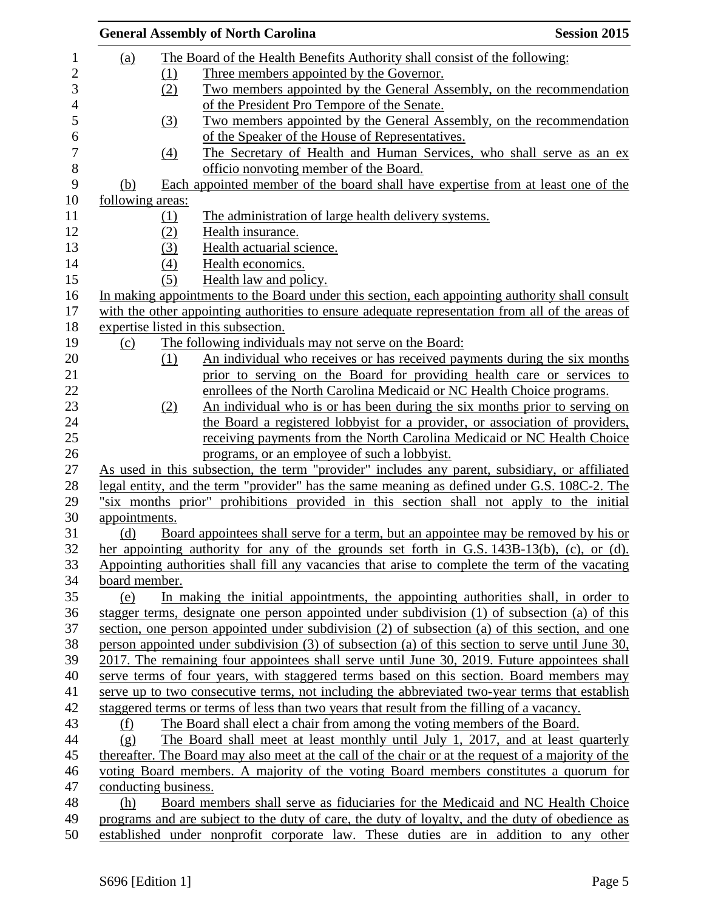|                      |                            | <b>General Assembly of North Carolina</b>                                                           | <b>Session 2015</b> |
|----------------------|----------------------------|-----------------------------------------------------------------------------------------------------|---------------------|
| (a)                  |                            | The Board of the Health Benefits Authority shall consist of the following:                          |                     |
|                      | (1)                        | Three members appointed by the Governor.                                                            |                     |
|                      | (2)                        | Two members appointed by the General Assembly, on the recommendation                                |                     |
|                      |                            | of the President Pro Tempore of the Senate.                                                         |                     |
|                      | $\underline{\textbf{(3)}}$ | Two members appointed by the General Assembly, on the recommendation                                |                     |
|                      |                            | of the Speaker of the House of Representatives.                                                     |                     |
|                      | $\left(4\right)$           | The Secretary of Health and Human Services, who shall serve as an ex-                               |                     |
|                      |                            | officio nonvoting member of the Board.                                                              |                     |
| (b)                  |                            | Each appointed member of the board shall have expertise from at least one of the                    |                     |
| following areas:     |                            |                                                                                                     |                     |
|                      | (1)                        | The administration of large health delivery systems.                                                |                     |
|                      | (2)                        | Health insurance.                                                                                   |                     |
|                      | (3)                        | Health actuarial science.                                                                           |                     |
|                      |                            |                                                                                                     |                     |
|                      | (4)                        | Health economics.                                                                                   |                     |
|                      | (5)                        | Health law and policy.                                                                              |                     |
|                      |                            | In making appointments to the Board under this section, each appointing authority shall consult     |                     |
|                      |                            | with the other appointing authorities to ensure adequate representation from all of the areas of    |                     |
|                      |                            | expertise listed in this subsection.                                                                |                     |
| (c)                  |                            | The following individuals may not serve on the Board:                                               |                     |
|                      | (1)                        | An individual who receives or has received payments during the six months                           |                     |
|                      |                            | prior to serving on the Board for providing health care or services to                              |                     |
|                      |                            | enrollees of the North Carolina Medicaid or NC Health Choice programs.                              |                     |
|                      | (2)                        | An individual who is or has been during the six months prior to serving on                          |                     |
|                      |                            | the Board a registered lobbyist for a provider, or association of providers,                        |                     |
|                      |                            | receiving payments from the North Carolina Medicaid or NC Health Choice                             |                     |
|                      |                            | programs, or an employee of such a lobbyist.                                                        |                     |
|                      |                            | As used in this subsection, the term "provider" includes any parent, subsidiary, or affiliated      |                     |
|                      |                            | legal entity, and the term "provider" has the same meaning as defined under G.S. 108C-2. The        |                     |
|                      |                            | "six months prior" prohibitions provided in this section shall not apply to the initial             |                     |
| appointments.        |                            |                                                                                                     |                     |
| (d)                  |                            | Board appointees shall serve for a term, but an appointee may be removed by his or                  |                     |
|                      |                            | her appointing authority for any of the grounds set forth in G.S. 143B-13(b), (c), or (d).          |                     |
|                      |                            | Appointing authorities shall fill any vacancies that arise to complete the term of the vacating     |                     |
| board member.        |                            |                                                                                                     |                     |
| (e)                  |                            | In making the initial appointments, the appointing authorities shall, in order to                   |                     |
|                      |                            | stagger terms, designate one person appointed under subdivision (1) of subsection (a) of this       |                     |
|                      |                            | section, one person appointed under subdivision (2) of subsection (a) of this section, and one      |                     |
|                      |                            | person appointed under subdivision (3) of subsection (a) of this section to serve until June 30,    |                     |
|                      |                            | 2017. The remaining four appointees shall serve until June 30, 2019. Future appointees shall        |                     |
|                      |                            | serve terms of four years, with staggered terms based on this section. Board members may            |                     |
|                      |                            | serve up to two consecutive terms, not including the abbreviated two-year terms that establish      |                     |
|                      |                            | staggered terms or terms of less than two years that result from the filling of a vacancy.          |                     |
| (f)                  |                            | The Board shall elect a chair from among the voting members of the Board.                           |                     |
| (g)                  |                            | The Board shall meet at least monthly until July 1, 2017, and at least quarterly                    |                     |
|                      |                            | thereafter. The Board may also meet at the call of the chair or at the request of a majority of the |                     |
|                      |                            | voting Board members. A majority of the voting Board members constitutes a quorum for               |                     |
| conducting business. |                            |                                                                                                     |                     |
| (h)                  |                            | Board members shall serve as fiduciaries for the Medicaid and NC Health Choice                      |                     |
|                      |                            | programs and are subject to the duty of care, the duty of loyalty, and the duty of obedience as     |                     |
|                      |                            | established under nonprofit corporate law. These duties are in addition to any other                |                     |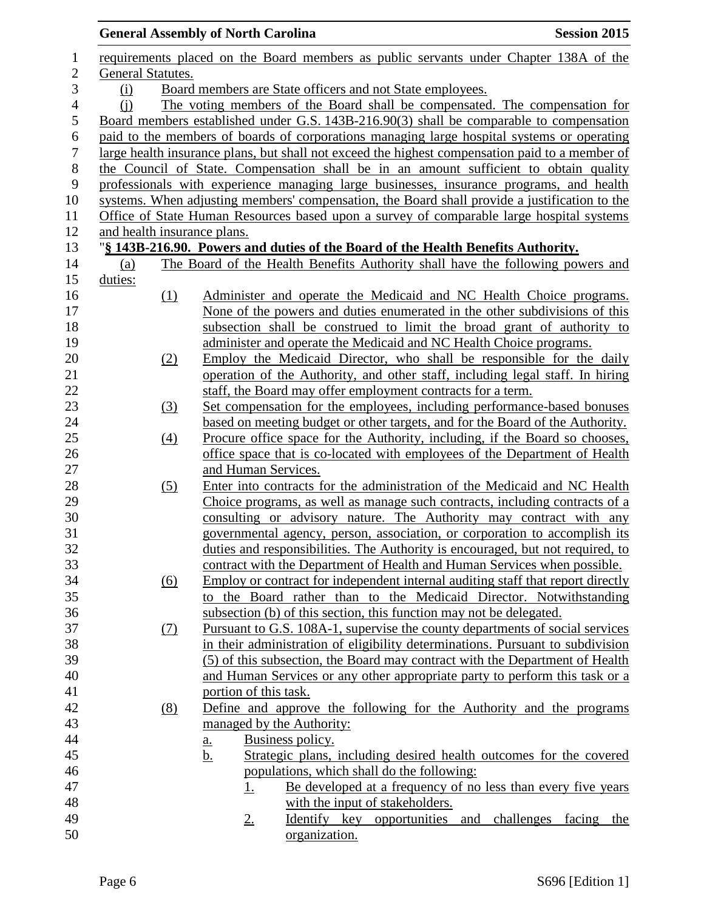|                  |                                                                  |                   | <b>General Assembly of North Carolina</b>                                                       | <b>Session 2015</b> |
|------------------|------------------------------------------------------------------|-------------------|-------------------------------------------------------------------------------------------------|---------------------|
| $\mathbf{1}$     |                                                                  |                   | requirements placed on the Board members as public servants under Chapter 138A of the           |                     |
| $\mathbf{2}$     | General Statutes.                                                |                   |                                                                                                 |                     |
| 3                | Board members are State officers and not State employees.<br>(i) |                   |                                                                                                 |                     |
| $\overline{4}$   | (i)                                                              |                   | The voting members of the Board shall be compensated. The compensation for                      |                     |
| 5                |                                                                  |                   | Board members established under G.S. 143B-216.90(3) shall be comparable to compensation         |                     |
| 6                |                                                                  |                   | paid to the members of boards of corporations managing large hospital systems or operating      |                     |
| $\boldsymbol{7}$ |                                                                  |                   | large health insurance plans, but shall not exceed the highest compensation paid to a member of |                     |
| $8\,$            |                                                                  |                   | the Council of State. Compensation shall be in an amount sufficient to obtain quality           |                     |
| 9                |                                                                  |                   | professionals with experience managing large businesses, insurance programs, and health         |                     |
| 10               |                                                                  |                   | systems. When adjusting members' compensation, the Board shall provide a justification to the   |                     |
| 11               |                                                                  |                   | Office of State Human Resources based upon a survey of comparable large hospital systems        |                     |
| 12               |                                                                  |                   | and health insurance plans.                                                                     |                     |
| 13               |                                                                  |                   | "§ 143B-216.90. Powers and duties of the Board of the Health Benefits Authority.                |                     |
| 14               | (a)                                                              |                   | The Board of the Health Benefits Authority shall have the following powers and                  |                     |
| 15               | duties:                                                          |                   |                                                                                                 |                     |
| 16               |                                                                  | (1)               | Administer and operate the Medicaid and NC Health Choice programs.                              |                     |
| 17               |                                                                  |                   | None of the powers and duties enumerated in the other subdivisions of this                      |                     |
| 18               |                                                                  |                   | subsection shall be construed to limit the broad grant of authority to                          |                     |
| 19               |                                                                  |                   | administer and operate the Medicaid and NC Health Choice programs.                              |                     |
| 20               |                                                                  | (2)               | Employ the Medicaid Director, who shall be responsible for the daily                            |                     |
| 21               |                                                                  |                   | operation of the Authority, and other staff, including legal staff. In hiring                   |                     |
| 22               |                                                                  |                   | staff, the Board may offer employment contracts for a term.                                     |                     |
| 23               |                                                                  | (3)               | Set compensation for the employees, including performance-based bonuses                         |                     |
| 24               |                                                                  |                   | based on meeting budget or other targets, and for the Board of the Authority.                   |                     |
| 25               |                                                                  | $\left(4\right)$  | Procure office space for the Authority, including, if the Board so chooses,                     |                     |
| 26               |                                                                  |                   | office space that is co-located with employees of the Department of Health                      |                     |
| 27               |                                                                  |                   | and Human Services.                                                                             |                     |
| 28               |                                                                  | (5)               | Enter into contracts for the administration of the Medicaid and NC Health                       |                     |
| 29               |                                                                  |                   | Choice programs, as well as manage such contracts, including contracts of a                     |                     |
| $30\,$           |                                                                  |                   | consulting or advisory nature. The Authority may contract with any                              |                     |
| 31               |                                                                  |                   | governmental agency, person, association, or corporation to accomplish its                      |                     |
| 32               |                                                                  |                   | duties and responsibilities. The Authority is encouraged, but not required, to                  |                     |
| 33               |                                                                  |                   | contract with the Department of Health and Human Services when possible.                        |                     |
| 34               |                                                                  | $\underline{(6)}$ | Employ or contract for independent internal auditing staff that report directly                 |                     |
| 35               |                                                                  |                   | the Board rather than to the Medicaid Director. Notwithstanding<br>to                           |                     |
| 36               |                                                                  |                   | subsection (b) of this section, this function may not be delegated.                             |                     |
| 37               |                                                                  | <u>(7)</u>        | Pursuant to G.S. 108A-1, supervise the county departments of social services                    |                     |
| 38               |                                                                  |                   | in their administration of eligibility determinations. Pursuant to subdivision                  |                     |
| 39               |                                                                  |                   | (5) of this subsection, the Board may contract with the Department of Health                    |                     |
| 40               |                                                                  |                   | and Human Services or any other appropriate party to perform this task or a                     |                     |
| 41               |                                                                  |                   | portion of this task.                                                                           |                     |
| 42               |                                                                  | (8)               | Define and approve the following for the Authority and the programs                             |                     |
| 43               |                                                                  |                   | managed by the Authority:                                                                       |                     |
| 44               |                                                                  |                   | Business policy.<br>a.                                                                          |                     |
| 45               |                                                                  |                   | Strategic plans, including desired health outcomes for the covered<br><u>b.</u>                 |                     |
| 46               |                                                                  |                   | populations, which shall do the following:                                                      |                     |
| 47               |                                                                  |                   | Be developed at a frequency of no less than every five years<br><u>1.</u>                       |                     |
| 48               |                                                                  |                   | with the input of stakeholders.                                                                 |                     |
| 49               |                                                                  |                   | Identify key opportunities and challenges<br>$2_{\cdot}$                                        | facing<br>the       |
| 50               |                                                                  |                   | organization.                                                                                   |                     |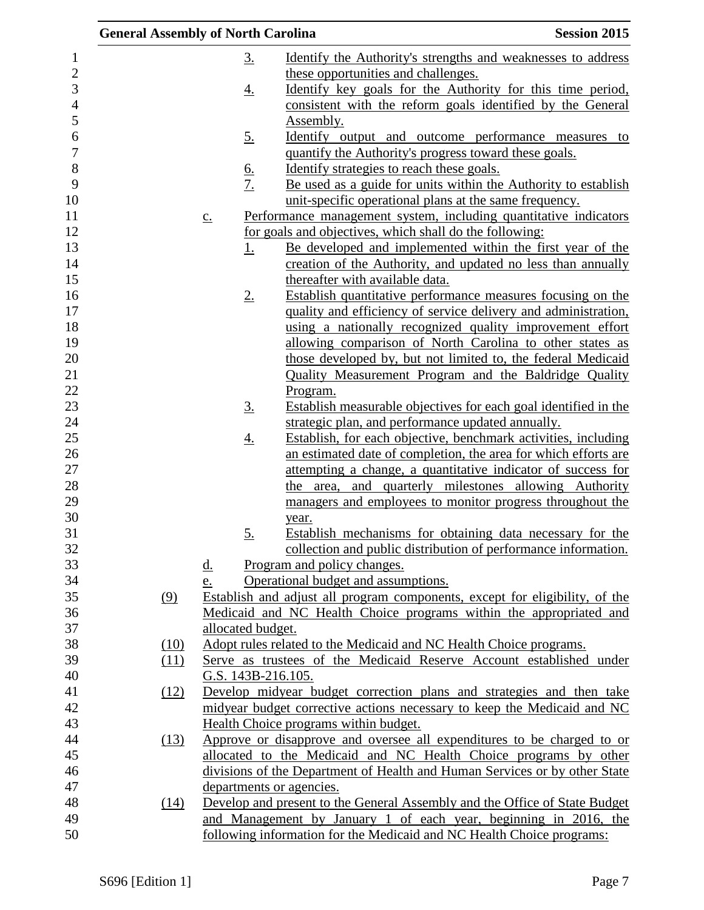| <b>General Assembly of North Carolina</b> |      |                   |                    |                                                                             | <b>Session 2015</b> |
|-------------------------------------------|------|-------------------|--------------------|-----------------------------------------------------------------------------|---------------------|
|                                           |      |                   | <u>3.</u>          | Identify the Authority's strengths and weaknesses to address                |                     |
|                                           |      |                   |                    | these opportunities and challenges.                                         |                     |
|                                           |      |                   | <u>4.</u>          | Identify key goals for the Authority for this time period,                  |                     |
|                                           |      |                   |                    | consistent with the reform goals identified by the General                  |                     |
|                                           |      |                   |                    | Assembly.                                                                   |                     |
|                                           |      |                   | <u>5.</u>          | <u>Identify</u> output and outcome performance measures to                  |                     |
|                                           |      |                   |                    | quantify the Authority's progress toward these goals.                       |                     |
|                                           |      |                   |                    | Identify strategies to reach these goals.                                   |                     |
|                                           |      |                   | $rac{6}{7}$        | Be used as a guide for units within the Authority to establish              |                     |
|                                           |      |                   |                    | unit-specific operational plans at the same frequency.                      |                     |
|                                           |      | $\underline{c}$ . |                    | Performance management system, including quantitative indicators            |                     |
|                                           |      |                   |                    | for goals and objectives, which shall do the following:                     |                     |
|                                           |      |                   | 1.                 | Be developed and implemented within the first year of the                   |                     |
|                                           |      |                   |                    | creation of the Authority, and updated no less than annually                |                     |
|                                           |      |                   |                    | thereafter with available data.                                             |                     |
|                                           |      |                   | $2_{\cdot}$        | Establish quantitative performance measures focusing on the                 |                     |
|                                           |      |                   |                    | quality and efficiency of service delivery and administration,              |                     |
|                                           |      |                   |                    | using a nationally recognized quality improvement effort                    |                     |
|                                           |      |                   |                    | allowing comparison of North Carolina to other states as                    |                     |
|                                           |      |                   |                    | those developed by, but not limited to, the federal Medicaid                |                     |
|                                           |      |                   |                    | Quality Measurement Program and the Baldridge Quality                       |                     |
|                                           |      |                   |                    | Program.                                                                    |                     |
|                                           |      |                   | $\underline{3}$ .  | Establish measurable objectives for each goal identified in the             |                     |
|                                           |      |                   |                    | strategic plan, and performance updated annually.                           |                     |
|                                           |      |                   | <u>4.</u>          | Establish, for each objective, benchmark activities, including              |                     |
|                                           |      |                   |                    | an estimated date of completion, the area for which efforts are             |                     |
|                                           |      |                   |                    | attempting a change, a quantitative indicator of success for                |                     |
|                                           |      |                   |                    | the area, and quarterly milestones allowing Authority                       |                     |
|                                           |      |                   |                    | managers and employees to monitor progress throughout the                   |                     |
|                                           |      |                   | 5.                 | year.<br>Establish mechanisms for obtaining data necessary for the          |                     |
|                                           |      |                   |                    | collection and public distribution of performance information.              |                     |
|                                           |      | <u>d.</u>         |                    | Program and policy changes.                                                 |                     |
|                                           |      | e.                |                    | Operational budget and assumptions.                                         |                     |
|                                           | (9)  |                   |                    | Establish and adjust all program components, except for eligibility, of the |                     |
|                                           |      |                   |                    | Medicaid and NC Health Choice programs within the appropriated and          |                     |
|                                           |      |                   | allocated budget.  |                                                                             |                     |
|                                           | (10) |                   |                    | Adopt rules related to the Medicaid and NC Health Choice programs.          |                     |
|                                           | (11) |                   |                    | Serve as trustees of the Medicaid Reserve Account established under         |                     |
|                                           |      |                   | G.S. 143B-216.105. |                                                                             |                     |
|                                           | (12) |                   |                    | Develop midyear budget correction plans and strategies and then take        |                     |
|                                           |      |                   |                    | midyear budget corrective actions necessary to keep the Medicaid and NC     |                     |
|                                           |      |                   |                    | Health Choice programs within budget.                                       |                     |
|                                           | (13) |                   |                    | Approve or disapprove and oversee all expenditures to be charged to or      |                     |
|                                           |      |                   |                    | allocated to the Medicaid and NC Health Choice programs by other            |                     |
|                                           |      |                   |                    | divisions of the Department of Health and Human Services or by other State  |                     |
|                                           |      |                   |                    | departments or agencies.                                                    |                     |
|                                           | (14) |                   |                    | Develop and present to the General Assembly and the Office of State Budget  |                     |
|                                           |      |                   |                    | and Management by January 1 of each year, beginning in 2016, the            |                     |
|                                           |      |                   |                    | following information for the Medicaid and NC Health Choice programs:       |                     |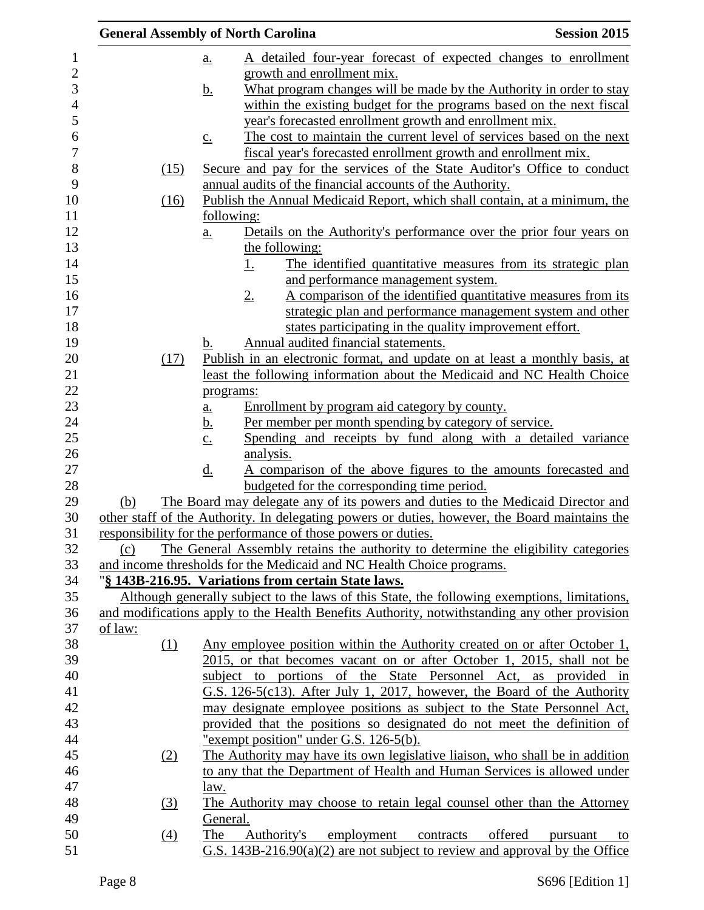|                  | <b>General Assembly of North Carolina</b>                     |                                                                                                | <b>Session 2015</b> |
|------------------|---------------------------------------------------------------|------------------------------------------------------------------------------------------------|---------------------|
|                  | <u>a.</u>                                                     | A detailed four-year forecast of expected changes to enrollment                                |                     |
|                  | growth and enrollment mix.                                    |                                                                                                |                     |
|                  | <u>b.</u>                                                     | What program changes will be made by the Authority in order to stay                            |                     |
|                  |                                                               | within the existing budget for the programs based on the next fiscal                           |                     |
|                  |                                                               | year's forecasted enrollment growth and enrollment mix.                                        |                     |
|                  | $\underline{c}$ .                                             | The cost to maintain the current level of services based on the next                           |                     |
|                  |                                                               | fiscal year's forecasted enrollment growth and enrollment mix.                                 |                     |
| (15)             |                                                               | Secure and pay for the services of the State Auditor's Office to conduct                       |                     |
|                  |                                                               | annual audits of the financial accounts of the Authority.                                      |                     |
| (16)             |                                                               | Publish the Annual Medicaid Report, which shall contain, at a minimum, the                     |                     |
|                  | following:                                                    |                                                                                                |                     |
|                  | a.                                                            | Details on the Authority's performance over the prior four years on                            |                     |
|                  | the following:                                                |                                                                                                |                     |
|                  | <u>1.</u>                                                     | The identified quantitative measures from its strategic plan                                   |                     |
|                  |                                                               | and performance management system.                                                             |                     |
|                  | $2_{\cdot}$                                                   | A comparison of the identified quantitative measures from its                                  |                     |
|                  |                                                               | strategic plan and performance management system and other                                     |                     |
|                  |                                                               | states participating in the quality improvement effort.                                        |                     |
|                  | b.                                                            | Annual audited financial statements.                                                           |                     |
| (17)             |                                                               | Publish in an electronic format, and update on at least a monthly basis, at                    |                     |
|                  |                                                               | least the following information about the Medicaid and NC Health Choice                        |                     |
|                  | programs:                                                     |                                                                                                |                     |
|                  | $\underline{a}$ .                                             | Enrollment by program aid category by county.                                                  |                     |
|                  | <u>b.</u>                                                     | Per member per month spending by category of service.                                          |                     |
|                  | $\underline{c}$ .                                             | Spending and receipts by fund along with a detailed variance                                   |                     |
|                  | analysis.                                                     |                                                                                                |                     |
|                  | $\underline{d}$ .                                             | A comparison of the above figures to the amounts forecasted and                                |                     |
|                  |                                                               | budgeted for the corresponding time period.                                                    |                     |
| (b)              |                                                               | The Board may delegate any of its powers and duties to the Medicaid Director and               |                     |
|                  |                                                               | other staff of the Authority. In delegating powers or duties, however, the Board maintains the |                     |
|                  | responsibility for the performance of those powers or duties. |                                                                                                |                     |
| (c)              |                                                               | The General Assembly retains the authority to determine the eligibility categories             |                     |
|                  |                                                               | and income thresholds for the Medicaid and NC Health Choice programs.                          |                     |
|                  | "§ 143B-216.95. Variations from certain State laws.           |                                                                                                |                     |
|                  |                                                               | Although generally subject to the laws of this State, the following exemptions, limitations,   |                     |
|                  |                                                               | and modifications apply to the Health Benefits Authority, notwithstanding any other provision  |                     |
| of law:          |                                                               |                                                                                                |                     |
| (1)              |                                                               | Any employee position within the Authority created on or after October 1,                      |                     |
|                  |                                                               | 2015, or that becomes vacant on or after October 1, 2015, shall not be                         |                     |
|                  |                                                               | subject to portions of the State Personnel Act, as provided in                                 |                     |
|                  |                                                               | G.S. 126-5(c13). After July 1, 2017, however, the Board of the Authority                       |                     |
|                  |                                                               | may designate employee positions as subject to the State Personnel Act,                        |                     |
|                  |                                                               | provided that the positions so designated do not meet the definition of                        |                     |
|                  | "exempt position" under G.S. 126-5(b).                        |                                                                                                |                     |
| (2)              |                                                               | The Authority may have its own legislative liaison, who shall be in addition                   |                     |
|                  |                                                               | to any that the Department of Health and Human Services is allowed under                       |                     |
|                  | law.                                                          |                                                                                                |                     |
| $\left(3\right)$ |                                                               | The Authority may choose to retain legal counsel other than the Attorney                       |                     |
|                  | General.                                                      |                                                                                                |                     |
| (4)              | The<br>Authority's                                            | employment contracts offered                                                                   | pursuant<br>to      |
|                  |                                                               | G.S. $143B-216.90(a)(2)$ are not subject to review and approval by the Office                  |                     |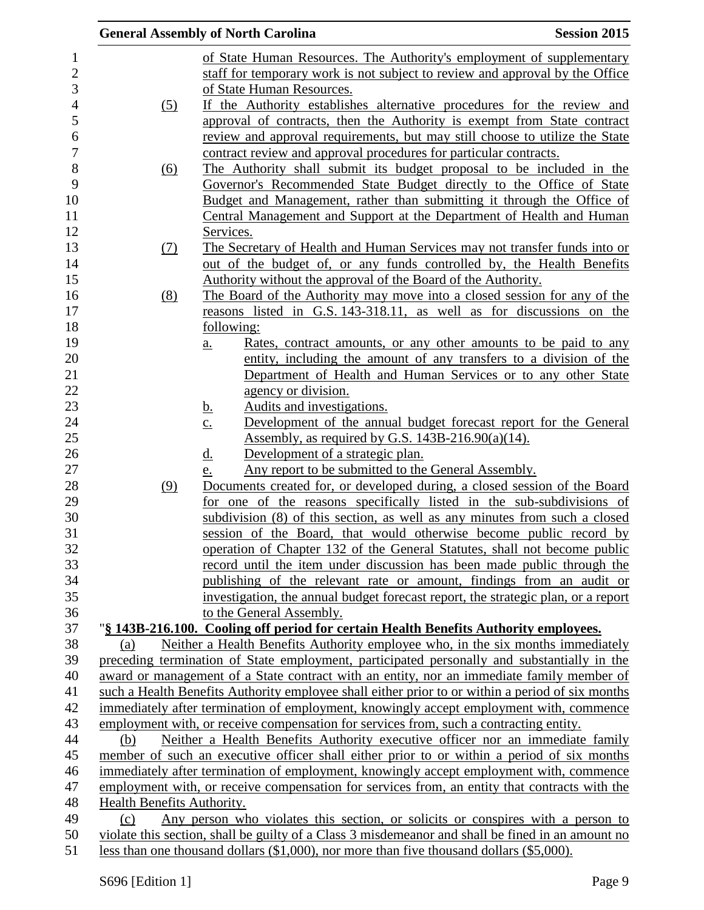|                            | <b>General Assembly of North Carolina</b>                                                                                                                                         | <b>Session 2015</b> |
|----------------------------|-----------------------------------------------------------------------------------------------------------------------------------------------------------------------------------|---------------------|
|                            | of State Human Resources. The Authority's employment of supplementary                                                                                                             |                     |
|                            | staff for temporary work is not subject to review and approval by the Office                                                                                                      |                     |
|                            | of State Human Resources.                                                                                                                                                         |                     |
| (5)                        | If the Authority establishes alternative procedures for the review and                                                                                                            |                     |
|                            | approval of contracts, then the Authority is exempt from State contract                                                                                                           |                     |
|                            | review and approval requirements, but may still choose to utilize the State                                                                                                       |                     |
|                            | contract review and approval procedures for particular contracts.                                                                                                                 |                     |
| <u>(6)</u>                 | The Authority shall submit its budget proposal to be included in the                                                                                                              |                     |
|                            | Governor's Recommended State Budget directly to the Office of State                                                                                                               |                     |
|                            | Budget and Management, rather than submitting it through the Office of                                                                                                            |                     |
|                            | Central Management and Support at the Department of Health and Human                                                                                                              |                     |
|                            | Services.                                                                                                                                                                         |                     |
| (7)                        | The Secretary of Health and Human Services may not transfer funds into or                                                                                                         |                     |
|                            | out of the budget of, or any funds controlled by, the Health Benefits                                                                                                             |                     |
|                            | Authority without the approval of the Board of the Authority.                                                                                                                     |                     |
| (8)                        | The Board of the Authority may move into a closed session for any of the                                                                                                          |                     |
|                            | reasons listed in G.S. 143-318.11, as well as for discussions on the                                                                                                              |                     |
|                            | following:                                                                                                                                                                        |                     |
|                            | <u>Rates, contract amounts, or any other amounts to be paid to any</u><br>$a_{\cdot}$                                                                                             |                     |
|                            | entity, including the amount of any transfers to a division of the                                                                                                                |                     |
|                            | Department of Health and Human Services or to any other State                                                                                                                     |                     |
|                            | agency or division.                                                                                                                                                               |                     |
|                            | Audits and investigations.<br><u>b.</u><br>Development of the annual budget forecast report for the General                                                                       |                     |
|                            | $\underline{c}$ .<br>Assembly, as required by G.S. $143B-216.90(a)(14)$ .                                                                                                         |                     |
|                            | Development of a strategic plan.<br><u>d.</u>                                                                                                                                     |                     |
|                            | Any report to be submitted to the General Assembly.<br>e.                                                                                                                         |                     |
| (9)                        | Documents created for, or developed during, a closed session of the Board                                                                                                         |                     |
|                            | for one of the reasons specifically listed in the sub-subdivisions of                                                                                                             |                     |
|                            | subdivision (8) of this section, as well as any minutes from such a closed                                                                                                        |                     |
|                            | session of the Board, that would otherwise become public record by                                                                                                                |                     |
|                            | operation of Chapter 132 of the General Statutes, shall not become public                                                                                                         |                     |
|                            | record until the item under discussion has been made public through the                                                                                                           |                     |
|                            | publishing of the relevant rate or amount, findings from an audit or                                                                                                              |                     |
|                            | investigation, the annual budget forecast report, the strategic plan, or a report                                                                                                 |                     |
|                            | to the General Assembly.                                                                                                                                                          |                     |
|                            | "§ 143B-216.100. Cooling off period for certain Health Benefits Authority employees.                                                                                              |                     |
| (a)                        | Neither a Health Benefits Authority employee who, in the six months immediately                                                                                                   |                     |
|                            | preceding termination of State employment, participated personally and substantially in the                                                                                       |                     |
|                            | award or management of a State contract with an entity, nor an immediate family member of                                                                                         |                     |
|                            | such a Health Benefits Authority employee shall either prior to or within a period of six months                                                                                  |                     |
|                            | immediately after termination of employment, knowingly accept employment with, commence<br>employment with, or receive compensation for services from, such a contracting entity. |                     |
| (b)                        | Neither a Health Benefits Authority executive officer nor an immediate family                                                                                                     |                     |
|                            | member of such an executive officer shall either prior to or within a period of six months                                                                                        |                     |
|                            | immediately after termination of employment, knowingly accept employment with, commence                                                                                           |                     |
|                            | employment with, or receive compensation for services from, an entity that contracts with the                                                                                     |                     |
| Health Benefits Authority. |                                                                                                                                                                                   |                     |
| (c)                        | Any person who violates this section, or solicits or conspires with a person to                                                                                                   |                     |
|                            | violate this section, shall be guilty of a Class 3 misdemeanor and shall be fined in an amount no                                                                                 |                     |
|                            | less than one thousand dollars $(\$1,000)$ , nor more than five thousand dollars $(\$5,000)$ .                                                                                    |                     |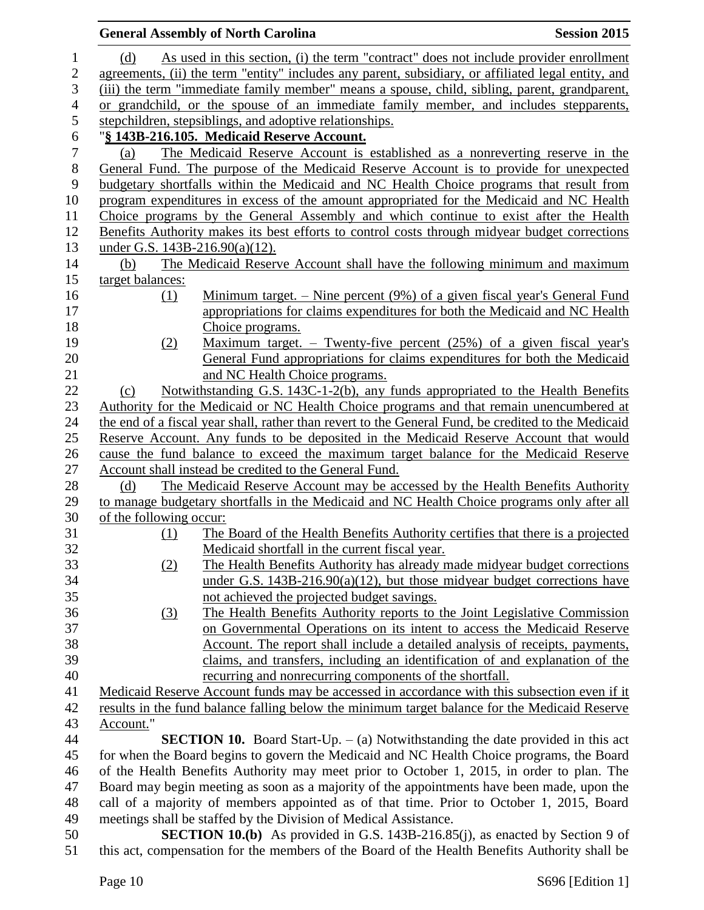|                  |                                   | <b>General Assembly of North Carolina</b>                                                           | <b>Session 2015</b> |
|------------------|-----------------------------------|-----------------------------------------------------------------------------------------------------|---------------------|
| $\mathbf{1}$     | (d)                               | As used in this section, (i) the term "contract" does not include provider enrollment               |                     |
| $\overline{c}$   |                                   | agreements, (ii) the term "entity" includes any parent, subsidiary, or affiliated legal entity, and |                     |
| 3                |                                   | (iii) the term "immediate family member" means a spouse, child, sibling, parent, grandparent,       |                     |
| $\overline{4}$   |                                   | or grandchild, or the spouse of an immediate family member, and includes stepparents,               |                     |
| 5                |                                   | stepchildren, stepsiblings, and adoptive relationships.                                             |                     |
| $\boldsymbol{6}$ |                                   | "§ 143B-216.105. Medicaid Reserve Account.                                                          |                     |
| $\tau$           | (a)                               | The Medicaid Reserve Account is established as a nonreverting reserve in the                        |                     |
| $8\,$            |                                   | General Fund. The purpose of the Medicaid Reserve Account is to provide for unexpected              |                     |
| 9                |                                   | budgetary shortfalls within the Medicaid and NC Health Choice programs that result from             |                     |
| 10               |                                   | program expenditures in excess of the amount appropriated for the Medicaid and NC Health            |                     |
| 11               |                                   | Choice programs by the General Assembly and which continue to exist after the Health                |                     |
| 12               |                                   | Benefits Authority makes its best efforts to control costs through midyear budget corrections       |                     |
| 13               | under G.S. $143B-216.90(a)(12)$ . |                                                                                                     |                     |
| 14               | (b)                               | The Medicaid Reserve Account shall have the following minimum and maximum                           |                     |
| 15               | target balances:                  |                                                                                                     |                     |
| 16               | (1)                               | <u>Minimum target. – Nine percent (9%) of a given fiscal year's General Fund</u>                    |                     |
| 17               |                                   | appropriations for claims expenditures for both the Medicaid and NC Health                          |                     |
| 18               |                                   | Choice programs.                                                                                    |                     |
| 19               | (2)                               | <u>Maximum target. – Twenty-five percent (25%) of a given fiscal year's</u>                         |                     |
| 20               |                                   | General Fund appropriations for claims expenditures for both the Medicaid                           |                     |
| 21               |                                   | and NC Health Choice programs.                                                                      |                     |
| 22               | (c)                               | Notwithstanding G.S. 143C-1-2(b), any funds appropriated to the Health Benefits                     |                     |
| 23               |                                   | Authority for the Medicaid or NC Health Choice programs and that remain unencumbered at             |                     |
| 24               |                                   | the end of a fiscal year shall, rather than revert to the General Fund, be credited to the Medicaid |                     |
| 25               |                                   | Reserve Account. Any funds to be deposited in the Medicaid Reserve Account that would               |                     |
| 26               |                                   | cause the fund balance to exceed the maximum target balance for the Medicaid Reserve                |                     |
| 27               |                                   | Account shall instead be credited to the General Fund.                                              |                     |
| 28               | (d)                               | The Medicaid Reserve Account may be accessed by the Health Benefits Authority                       |                     |
| 29               |                                   | to manage budgetary shortfalls in the Medicaid and NC Health Choice programs only after all         |                     |
| 30               | of the following occur:           |                                                                                                     |                     |
| 31               | (1)                               | The Board of the Health Benefits Authority certifies that there is a projected                      |                     |
| 32               |                                   | Medicaid shortfall in the current fiscal year.                                                      |                     |
| 33               | (2)                               | The Health Benefits Authority has already made midyear budget corrections                           |                     |
| 34               |                                   | under G.S. $143B-216.90(a)(12)$ , but those midyear budget corrections have                         |                     |
| 35               |                                   | not achieved the projected budget savings.                                                          |                     |
| 36               | (3)                               | The Health Benefits Authority reports to the Joint Legislative Commission                           |                     |
| 37               |                                   | on Governmental Operations on its intent to access the Medicaid Reserve                             |                     |
| 38               |                                   | Account. The report shall include a detailed analysis of receipts, payments,                        |                     |
| 39               |                                   | claims, and transfers, including an identification of and explanation of the                        |                     |
| 40               |                                   | recurring and nonrecurring components of the shortfall.                                             |                     |
| 41               |                                   | Medicaid Reserve Account funds may be accessed in accordance with this subsection even if it        |                     |
| 42               |                                   | results in the fund balance falling below the minimum target balance for the Medicaid Reserve       |                     |
| 43               | Account."                         |                                                                                                     |                     |
| 44               |                                   | <b>SECTION 10.</b> Board Start-Up. $-$ (a) Notwithstanding the date provided in this act            |                     |
| 45               |                                   | for when the Board begins to govern the Medicaid and NC Health Choice programs, the Board           |                     |
| 46               |                                   | of the Health Benefits Authority may meet prior to October 1, 2015, in order to plan. The           |                     |
| 47               |                                   | Board may begin meeting as soon as a majority of the appointments have been made, upon the          |                     |
| 48               |                                   | call of a majority of members appointed as of that time. Prior to October 1, 2015, Board            |                     |
| 49               |                                   | meetings shall be staffed by the Division of Medical Assistance.                                    |                     |
| 50               |                                   | <b>SECTION 10.(b)</b> As provided in G.S. 143B-216.85(j), as enacted by Section 9 of                |                     |

this act, compensation for the members of the Board of the Health Benefits Authority shall be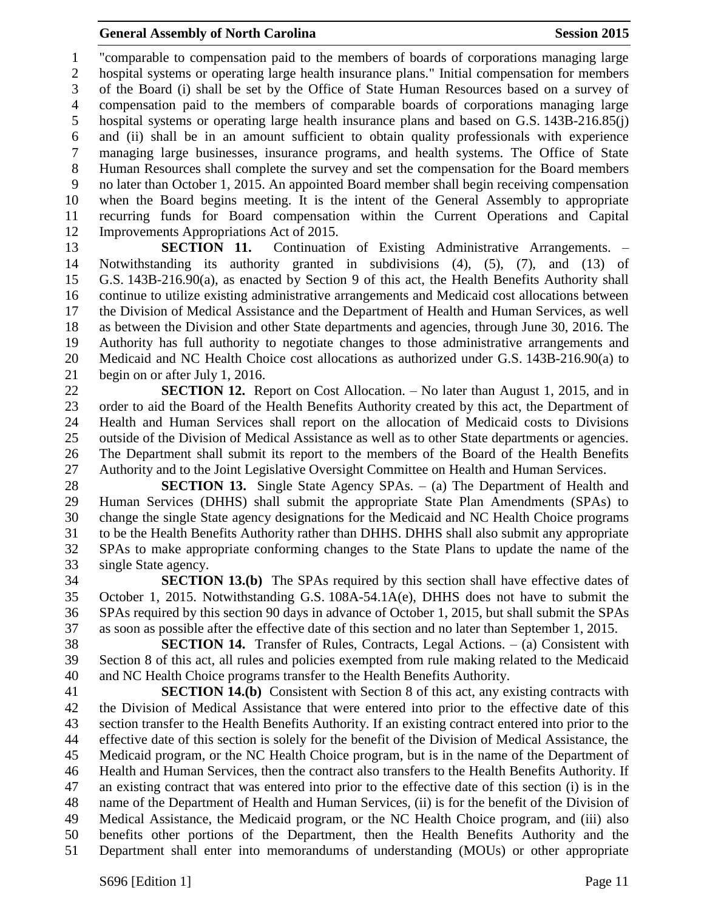"comparable to compensation paid to the members of boards of corporations managing large hospital systems or operating large health insurance plans." Initial compensation for members of the Board (i) shall be set by the Office of State Human Resources based on a survey of compensation paid to the members of comparable boards of corporations managing large hospital systems or operating large health insurance plans and based on G.S. 143B-216.85(j) and (ii) shall be in an amount sufficient to obtain quality professionals with experience managing large businesses, insurance programs, and health systems. The Office of State Human Resources shall complete the survey and set the compensation for the Board members no later than October 1, 2015. An appointed Board member shall begin receiving compensation when the Board begins meeting. It is the intent of the General Assembly to appropriate recurring funds for Board compensation within the Current Operations and Capital Improvements Appropriations Act of 2015.

 **SECTION 11.** Continuation of Existing Administrative Arrangements. – Notwithstanding its authority granted in subdivisions (4), (5), (7), and (13) of G.S. 143B-216.90(a), as enacted by Section 9 of this act, the Health Benefits Authority shall continue to utilize existing administrative arrangements and Medicaid cost allocations between the Division of Medical Assistance and the Department of Health and Human Services, as well as between the Division and other State departments and agencies, through June 30, 2016. The Authority has full authority to negotiate changes to those administrative arrangements and Medicaid and NC Health Choice cost allocations as authorized under G.S. 143B-216.90(a) to begin on or after July 1, 2016.

 **SECTION 12.** Report on Cost Allocation. – No later than August 1, 2015, and in order to aid the Board of the Health Benefits Authority created by this act, the Department of Health and Human Services shall report on the allocation of Medicaid costs to Divisions outside of the Division of Medical Assistance as well as to other State departments or agencies. The Department shall submit its report to the members of the Board of the Health Benefits Authority and to the Joint Legislative Oversight Committee on Health and Human Services.

 **SECTION 13.** Single State Agency SPAs. – (a) The Department of Health and Human Services (DHHS) shall submit the appropriate State Plan Amendments (SPAs) to change the single State agency designations for the Medicaid and NC Health Choice programs to be the Health Benefits Authority rather than DHHS. DHHS shall also submit any appropriate SPAs to make appropriate conforming changes to the State Plans to update the name of the single State agency.

 **SECTION 13.(b)** The SPAs required by this section shall have effective dates of October 1, 2015. Notwithstanding G.S. 108A-54.1A(e), DHHS does not have to submit the SPAs required by this section 90 days in advance of October 1, 2015, but shall submit the SPAs as soon as possible after the effective date of this section and no later than September 1, 2015.

 **SECTION 14.** Transfer of Rules, Contracts, Legal Actions. – (a) Consistent with Section 8 of this act, all rules and policies exempted from rule making related to the Medicaid and NC Health Choice programs transfer to the Health Benefits Authority.

 **SECTION 14.(b)** Consistent with Section 8 of this act, any existing contracts with the Division of Medical Assistance that were entered into prior to the effective date of this section transfer to the Health Benefits Authority. If an existing contract entered into prior to the effective date of this section is solely for the benefit of the Division of Medical Assistance, the Medicaid program, or the NC Health Choice program, but is in the name of the Department of Health and Human Services, then the contract also transfers to the Health Benefits Authority. If an existing contract that was entered into prior to the effective date of this section (i) is in the name of the Department of Health and Human Services, (ii) is for the benefit of the Division of Medical Assistance, the Medicaid program, or the NC Health Choice program, and (iii) also benefits other portions of the Department, then the Health Benefits Authority and the Department shall enter into memorandums of understanding (MOUs) or other appropriate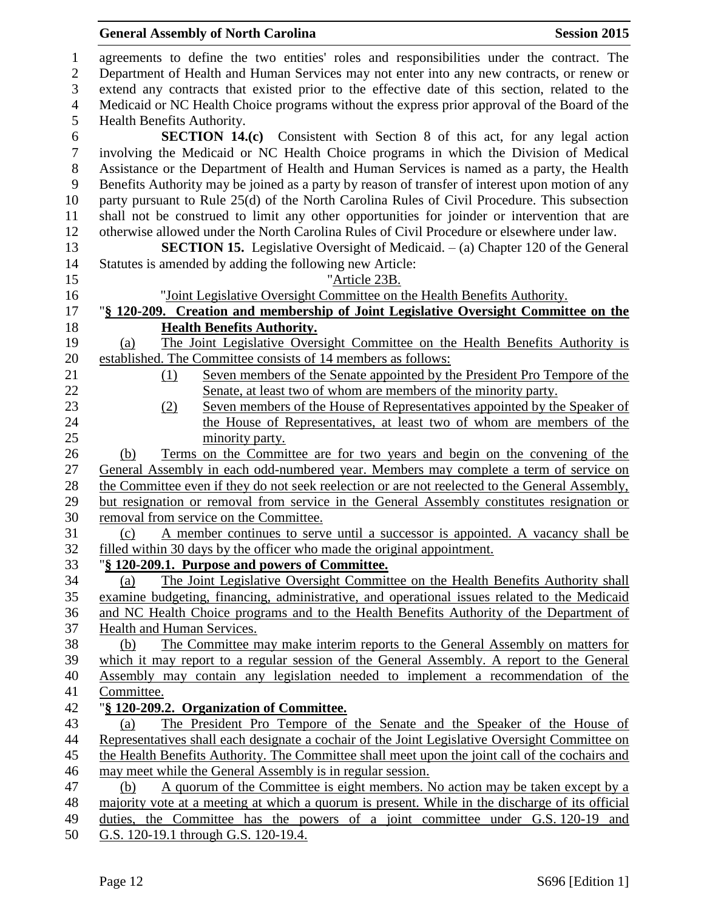# **General Assembly of North Carolina Session 2015**

| 1                | agreements to define the two entities' roles and responsibilities under the contract. The                                                                                  |
|------------------|----------------------------------------------------------------------------------------------------------------------------------------------------------------------------|
| $\overline{2}$   | Department of Health and Human Services may not enter into any new contracts, or renew or                                                                                  |
| 3                | extend any contracts that existed prior to the effective date of this section, related to the                                                                              |
| $\overline{4}$   | Medicaid or NC Health Choice programs without the express prior approval of the Board of the                                                                               |
| 5                | Health Benefits Authority.                                                                                                                                                 |
| 6                | <b>SECTION 14.(c)</b> Consistent with Section 8 of this act, for any legal action                                                                                          |
| $\boldsymbol{7}$ | involving the Medicaid or NC Health Choice programs in which the Division of Medical                                                                                       |
| $8\,$            | Assistance or the Department of Health and Human Services is named as a party, the Health                                                                                  |
| 9                | Benefits Authority may be joined as a party by reason of transfer of interest upon motion of any                                                                           |
| 10               | party pursuant to Rule 25(d) of the North Carolina Rules of Civil Procedure. This subsection                                                                               |
| 11               | shall not be construed to limit any other opportunities for joinder or intervention that are                                                                               |
| 12               | otherwise allowed under the North Carolina Rules of Civil Procedure or elsewhere under law.                                                                                |
| 13               | <b>SECTION 15.</b> Legislative Oversight of Medicaid. $-$ (a) Chapter 120 of the General                                                                                   |
| 14               | Statutes is amended by adding the following new Article:                                                                                                                   |
| 15               | "Article 23B.                                                                                                                                                              |
| 16               | "Joint Legislative Oversight Committee on the Health Benefits Authority.                                                                                                   |
| 17               | "§ 120-209. Creation and membership of Joint Legislative Oversight Committee on the                                                                                        |
| 18               | <b>Health Benefits Authority.</b>                                                                                                                                          |
| 19               | The Joint Legislative Oversight Committee on the Health Benefits Authority is<br>(a)                                                                                       |
| 20               | established. The Committee consists of 14 members as follows:                                                                                                              |
| 21               | Seven members of the Senate appointed by the President Pro Tempore of the<br>(1)                                                                                           |
| 22               | Senate, at least two of whom are members of the minority party.                                                                                                            |
| 23               | Seven members of the House of Representatives appointed by the Speaker of<br>(2)                                                                                           |
| 24<br>25         | the House of Representatives, at least two of whom are members of the                                                                                                      |
| 26               | minority party.                                                                                                                                                            |
| 27               | Terms on the Committee are for two years and begin on the convening of the<br>(b)<br>General Assembly in each odd-numbered year. Members may complete a term of service on |
| 28               | the Committee even if they do not seek reelection or are not reelected to the General Assembly,                                                                            |
| 29               | but resignation or removal from service in the General Assembly constitutes resignation or                                                                                 |
| 30               | removal from service on the Committee.                                                                                                                                     |
| 31               | A member continues to serve until a successor is appointed. A vacancy shall be<br>(c)                                                                                      |
| 32               | filled within 30 days by the officer who made the original appointment.                                                                                                    |
| 33               | "§ 120-209.1. Purpose and powers of Committee.                                                                                                                             |
| 34               | The Joint Legislative Oversight Committee on the Health Benefits Authority shall<br>(a)                                                                                    |
| 35               | examine budgeting, financing, administrative, and operational issues related to the Medicaid                                                                               |
| 36               | and NC Health Choice programs and to the Health Benefits Authority of the Department of                                                                                    |
| 37               | Health and Human Services.                                                                                                                                                 |
| 38               | The Committee may make interim reports to the General Assembly on matters for<br>(b)                                                                                       |
| 39               | which it may report to a regular session of the General Assembly. A report to the General                                                                                  |
| 40               | Assembly may contain any legislation needed to implement a recommendation of the                                                                                           |
| 41               | Committee.                                                                                                                                                                 |
| 42               | "§ 120-209.2. Organization of Committee.                                                                                                                                   |
| 43               | The President Pro Tempore of the Senate and the Speaker of the House of<br>(a)                                                                                             |
| 44               | Representatives shall each designate a cochair of the Joint Legislative Oversight Committee on                                                                             |
| 45               | the Health Benefits Authority. The Committee shall meet upon the joint call of the cochairs and                                                                            |
| 46               | may meet while the General Assembly is in regular session.                                                                                                                 |
| 47               | A quorum of the Committee is eight members. No action may be taken except by a<br>(b)                                                                                      |
| 48               | majority vote at a meeting at which a quorum is present. While in the discharge of its official                                                                            |
| 49               | duties, the Committee has the powers of a joint committee under G.S. 120-19 and                                                                                            |
| $50^{\circ}$     | $C_S$ 120 10 1 through $C_S$ 120 10 4                                                                                                                                      |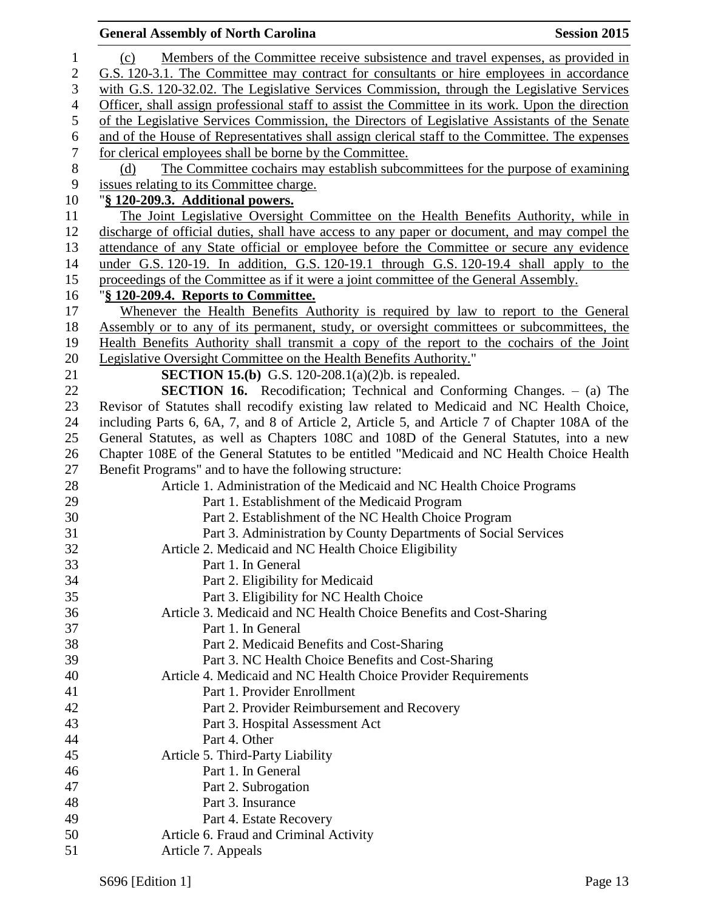|                  | <b>General Assembly of North Carolina</b><br><b>Session 2015</b>                                 |
|------------------|--------------------------------------------------------------------------------------------------|
| $\mathbf{1}$     | Members of the Committee receive subsistence and travel expenses, as provided in<br>(c)          |
| $\mathbf{2}$     | G.S. 120-3.1. The Committee may contract for consultants or hire employees in accordance         |
| 3                | with G.S. 120-32.02. The Legislative Services Commission, through the Legislative Services       |
| $\overline{4}$   | Officer, shall assign professional staff to assist the Committee in its work. Upon the direction |
| 5                | of the Legislative Services Commission, the Directors of Legislative Assistants of the Senate    |
| $\boldsymbol{6}$ | and of the House of Representatives shall assign clerical staff to the Committee. The expenses   |
| $\boldsymbol{7}$ | for clerical employees shall be borne by the Committee.                                          |
| $\, 8$           | The Committee cochairs may establish subcommittees for the purpose of examining<br>(d)           |
| 9                | issues relating to its Committee charge.                                                         |
| 10               | "§ 120-209.3. Additional powers.                                                                 |
| 11               | The Joint Legislative Oversight Committee on the Health Benefits Authority, while in             |
| 12               | discharge of official duties, shall have access to any paper or document, and may compel the     |
| 13               | attendance of any State official or employee before the Committee or secure any evidence         |
| 14               | under G.S. 120-19. In addition, G.S. 120-19.1 through G.S. 120-19.4 shall apply to the           |
| 15               | proceedings of the Committee as if it were a joint committee of the General Assembly.            |
| 16               | "§ 120-209.4. Reports to Committee.                                                              |
| 17               | Whenever the Health Benefits Authority is required by law to report to the General               |
| 18               | Assembly or to any of its permanent, study, or oversight committees or subcommittees, the        |
| 19               | Health Benefits Authority shall transmit a copy of the report to the cochairs of the Joint       |
| 20               | Legislative Oversight Committee on the Health Benefits Authority."                               |
| 21               | <b>SECTION 15.(b)</b> G.S. 120-208.1(a)(2)b. is repealed.                                        |
| 22               | <b>SECTION 16.</b> Recodification; Technical and Conforming Changes. - (a) The                   |
| 23               | Revisor of Statutes shall recodify existing law related to Medicaid and NC Health Choice,        |
| 24               | including Parts 6, 6A, 7, and 8 of Article 2, Article 5, and Article 7 of Chapter 108A of the    |
| 25               | General Statutes, as well as Chapters 108C and 108D of the General Statutes, into a new          |
| 26               | Chapter 108E of the General Statutes to be entitled "Medicaid and NC Health Choice Health        |
| 27               | Benefit Programs" and to have the following structure:                                           |
| 28               | Article 1. Administration of the Medicaid and NC Health Choice Programs                          |
| 29               | Part 1. Establishment of the Medicaid Program                                                    |
| 30               | Part 2. Establishment of the NC Health Choice Program                                            |
| 31               | Part 3. Administration by County Departments of Social Services                                  |
| 32               | Article 2. Medicaid and NC Health Choice Eligibility                                             |
| 33               | Part 1. In General                                                                               |
| 34               | Part 2. Eligibility for Medicaid                                                                 |
| 35               | Part 3. Eligibility for NC Health Choice                                                         |
| 36               | Article 3. Medicaid and NC Health Choice Benefits and Cost-Sharing                               |
| 37               | Part 1. In General                                                                               |
| 38               | Part 2. Medicaid Benefits and Cost-Sharing                                                       |
| 39               | Part 3. NC Health Choice Benefits and Cost-Sharing                                               |
| 40               | Article 4. Medicaid and NC Health Choice Provider Requirements                                   |
| 41               | Part 1. Provider Enrollment                                                                      |
| 42               | Part 2. Provider Reimbursement and Recovery                                                      |
| 43               | Part 3. Hospital Assessment Act                                                                  |
| 44               | Part 4. Other                                                                                    |
| 45               | Article 5. Third-Party Liability                                                                 |
| 46               | Part 1. In General                                                                               |
| 47               | Part 2. Subrogation                                                                              |
| 48               | Part 3. Insurance                                                                                |
| 49               | Part 4. Estate Recovery                                                                          |
| 50               | Article 6. Fraud and Criminal Activity                                                           |
| 51               | Article 7. Appeals                                                                               |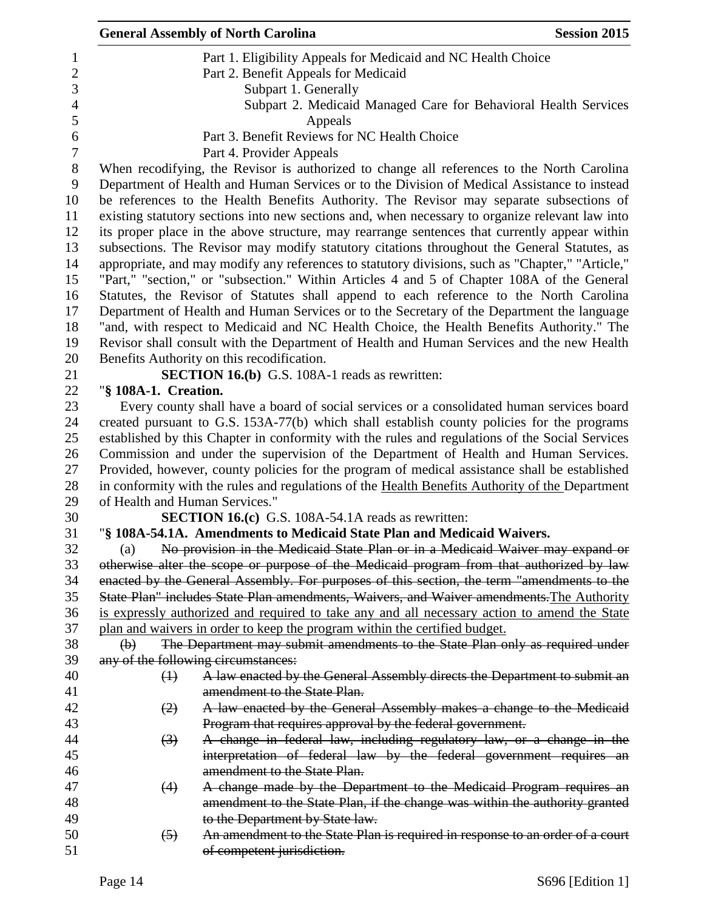|                  |                                | <b>General Assembly of North Carolina</b>                                                        | <b>Session 2015</b> |
|------------------|--------------------------------|--------------------------------------------------------------------------------------------------|---------------------|
| $\mathbf{1}$     |                                | Part 1. Eligibility Appeals for Medicaid and NC Health Choice                                    |                     |
| $\overline{2}$   |                                | Part 2. Benefit Appeals for Medicaid                                                             |                     |
| 3                |                                | Subpart 1. Generally                                                                             |                     |
| $\overline{4}$   |                                | Subpart 2. Medicaid Managed Care for Behavioral Health Services                                  |                     |
| 5                |                                | Appeals                                                                                          |                     |
| 6                |                                | Part 3. Benefit Reviews for NC Health Choice                                                     |                     |
| $\boldsymbol{7}$ |                                | Part 4. Provider Appeals                                                                         |                     |
| $8\,$            |                                | When recodifying, the Revisor is authorized to change all references to the North Carolina       |                     |
| 9                |                                | Department of Health and Human Services or to the Division of Medical Assistance to instead      |                     |
| 10               |                                | be references to the Health Benefits Authority. The Revisor may separate subsections of          |                     |
| 11               |                                | existing statutory sections into new sections and, when necessary to organize relevant law into  |                     |
| 12               |                                | its proper place in the above structure, may rearrange sentences that currently appear within    |                     |
| 13               |                                | subsections. The Revisor may modify statutory citations throughout the General Statutes, as      |                     |
| 14               |                                | appropriate, and may modify any references to statutory divisions, such as "Chapter," "Article," |                     |
| 15               |                                | "Part," "section," or "subsection." Within Articles 4 and 5 of Chapter 108A of the General       |                     |
| 16               |                                | Statutes, the Revisor of Statutes shall append to each reference to the North Carolina           |                     |
| 17               |                                | Department of Health and Human Services or to the Secretary of the Department the language       |                     |
| 18               |                                | "and, with respect to Medicaid and NC Health Choice, the Health Benefits Authority." The         |                     |
| 19               |                                | Revisor shall consult with the Department of Health and Human Services and the new Health        |                     |
| 20               |                                | Benefits Authority on this recodification.                                                       |                     |
| 21               |                                | <b>SECTION 16.(b)</b> G.S. 108A-1 reads as rewritten:                                            |                     |
| 22               | "§ 108A-1. Creation.           |                                                                                                  |                     |
| 23               |                                | Every county shall have a board of social services or a consolidated human services board        |                     |
| 24               |                                | created pursuant to G.S. 153A-77(b) which shall establish county policies for the programs       |                     |
| 25               |                                | established by this Chapter in conformity with the rules and regulations of the Social Services  |                     |
| 26               |                                | Commission and under the supervision of the Department of Health and Human Services.             |                     |
| 27               |                                | Provided, however, county policies for the program of medical assistance shall be established    |                     |
| 28               |                                | in conformity with the rules and regulations of the Health Benefits Authority of the Department  |                     |
| 29               | of Health and Human Services." |                                                                                                  |                     |
| 30               |                                | <b>SECTION 16.(c)</b> G.S. 108A-54.1A reads as rewritten:                                        |                     |
| 31               |                                | "§ 108A-54.1A. Amendments to Medicaid State Plan and Medicaid Waivers.                           |                     |
| 32               | (a)                            | No provision in the Medicaid State Plan or in a Medicaid Waiver may expand or                    |                     |
| 33               |                                | otherwise alter the scope or purpose of the Medicaid program from that authorized by law         |                     |
| 34               |                                | enacted by the General Assembly. For purposes of this section, the term "amendments to the       |                     |
| 35               |                                | State Plan" includes State Plan amendments, Waivers, and Waiver amendments. The Authority        |                     |
| 36               |                                | is expressly authorized and required to take any and all necessary action to amend the State     |                     |
| 37               |                                | plan and waivers in order to keep the program within the certified budget.                       |                     |
| 38               | $\Theta$                       | The Department may submit amendments to the State Plan only as required under                    |                     |
| 39               |                                | any of the following circumstances:                                                              |                     |
| 40               | $\bigoplus$                    | A law enacted by the General Assembly directs the Department to submit an                        |                     |
| 41               |                                | amendment to the State Plan.                                                                     |                     |
| 42               | (2)                            | A law enacted by the General Assembly makes a change to the Medicaid                             |                     |
| 43               |                                | Program that requires approval by the federal government.                                        |                     |
| 44               | $\left(3\right)$               | A change in federal law, including regulatory law, or a change in the                            |                     |
| 45               |                                | interpretation of federal law by the federal government requires an                              |                     |
| 46               |                                | amendment to the State Plan.                                                                     |                     |
| 47               | (4)                            | A change made by the Department to the Medicaid Program requires an                              |                     |
| 48               |                                | amendment to the State Plan, if the change was within the authority granted                      |                     |
| 49               |                                | to the Department by State law.                                                                  |                     |
| 50               | $\left(5\right)$               | An amendment to the State Plan is required in response to an order of a court                    |                     |
| 51               |                                | of competent jurisdiction.                                                                       |                     |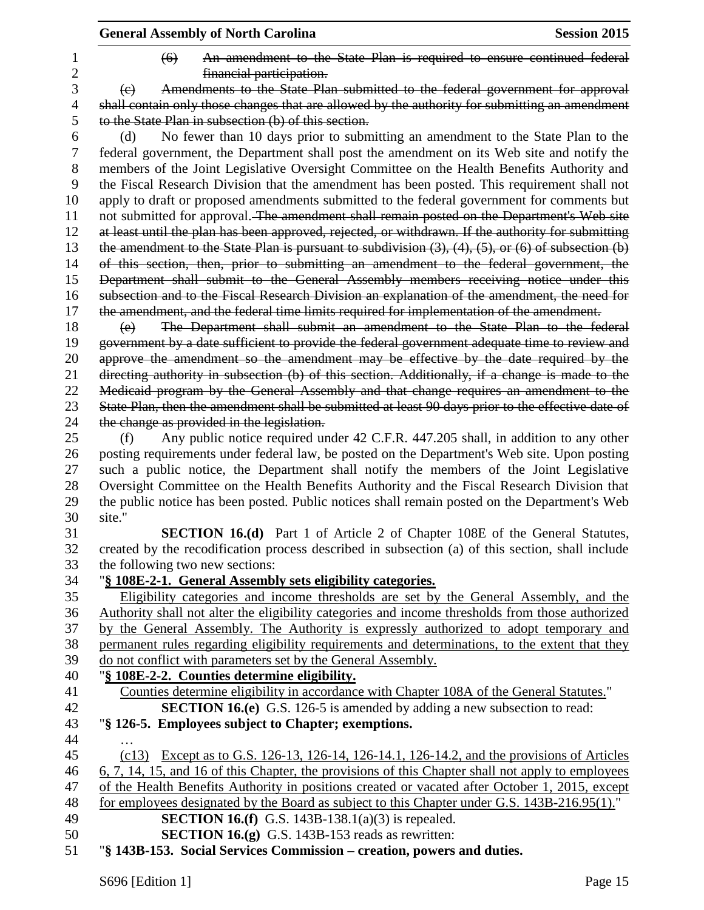|                     | <b>General Assembly of North Carolina</b><br><b>Session 2015</b>                                                                                                                                                                                                                       |
|---------------------|----------------------------------------------------------------------------------------------------------------------------------------------------------------------------------------------------------------------------------------------------------------------------------------|
| 1<br>$\overline{c}$ | An amendment to the State Plan is required to ensure continued federal<br>$\left( 6 \right)$<br>financial participation.                                                                                                                                                               |
| 3                   | Amendments to the State Plan submitted to the federal government for approval<br>(e)                                                                                                                                                                                                   |
| $\overline{4}$      | shall contain only those changes that are allowed by the authority for submitting an amendment                                                                                                                                                                                         |
| 5                   | to the State Plan in subsection (b) of this section.                                                                                                                                                                                                                                   |
| 6                   | No fewer than 10 days prior to submitting an amendment to the State Plan to the<br>(d)                                                                                                                                                                                                 |
| 7                   | federal government, the Department shall post the amendment on its Web site and notify the                                                                                                                                                                                             |
| 8<br>9<br>10        | members of the Joint Legislative Oversight Committee on the Health Benefits Authority and<br>the Fiscal Research Division that the amendment has been posted. This requirement shall not<br>apply to draft or proposed amendments submitted to the federal government for comments but |
| 11<br>12            | not submitted for approval. The amendment shall remain posted on the Department's Web site<br>at least until the plan has been approved, rejected, or withdrawn. If the authority for submitting                                                                                       |
| 13                  | the amendment to the State Plan is pursuant to subdivision $(3)$ , $(4)$ , $(5)$ , or $(6)$ of subsection $(b)$                                                                                                                                                                        |
| 14                  | of this section, then, prior to submitting an amendment to the federal government, the                                                                                                                                                                                                 |
| 15                  | Department shall submit to the General Assembly members receiving notice under this                                                                                                                                                                                                    |
| 16                  | subsection and to the Fiscal Research Division an explanation of the amendment, the need for                                                                                                                                                                                           |
| 17                  | the amendment, and the federal time limits required for implementation of the amendment.                                                                                                                                                                                               |
| 18                  | The Department shall submit an amendment to the State Plan to the federal<br>(e)                                                                                                                                                                                                       |
| 19                  | government by a date sufficient to provide the federal government adequate time to review and                                                                                                                                                                                          |
| 20                  | approve the amendment so the amendment may be effective by the date required by the                                                                                                                                                                                                    |
| 21                  | directing authority in subsection (b) of this section. Additionally, if a change is made to the                                                                                                                                                                                        |
| 22                  | Medicaid program by the General Assembly and that change requires an amendment to the                                                                                                                                                                                                  |
| 23                  | State Plan, then the amendment shall be submitted at least 90 days prior to the effective date of                                                                                                                                                                                      |
| 24                  | the change as provided in the legislation.                                                                                                                                                                                                                                             |
| 25                  | Any public notice required under 42 C.F.R. 447.205 shall, in addition to any other<br>(f)                                                                                                                                                                                              |
| 26                  | posting requirements under federal law, be posted on the Department's Web site. Upon posting                                                                                                                                                                                           |
| 27                  | such a public notice, the Department shall notify the members of the Joint Legislative                                                                                                                                                                                                 |
| 28                  | Oversight Committee on the Health Benefits Authority and the Fiscal Research Division that                                                                                                                                                                                             |
| 29                  | the public notice has been posted. Public notices shall remain posted on the Department's Web                                                                                                                                                                                          |
| 30                  | site."                                                                                                                                                                                                                                                                                 |
| 31                  | <b>SECTION 16.(d)</b> Part 1 of Article 2 of Chapter 108E of the General Statutes,                                                                                                                                                                                                     |
| 32                  | created by the recodification process described in subsection (a) of this section, shall include                                                                                                                                                                                       |
| 33                  | the following two new sections:                                                                                                                                                                                                                                                        |
| 34                  | "§ 108E-2-1. General Assembly sets eligibility categories.                                                                                                                                                                                                                             |
| 35                  | Eligibility categories and income thresholds are set by the General Assembly, and the                                                                                                                                                                                                  |
| 36                  | Authority shall not alter the eligibility categories and income thresholds from those authorized<br>by the General Assembly. The Authority is expressly authorized to adopt temporary and                                                                                              |
| 37<br>38            |                                                                                                                                                                                                                                                                                        |
| 39                  | permanent rules regarding eligibility requirements and determinations, to the extent that they<br>do not conflict with parameters set by the General Assembly.                                                                                                                         |
| 40                  | "§ 108E-2-2. Counties determine eligibility.                                                                                                                                                                                                                                           |
| 41                  | Counties determine eligibility in accordance with Chapter 108A of the General Statutes."                                                                                                                                                                                               |
| 42                  | <b>SECTION 16.(e)</b> G.S. 126-5 is amended by adding a new subsection to read:                                                                                                                                                                                                        |
| 43                  | "§ 126-5. Employees subject to Chapter; exemptions.                                                                                                                                                                                                                                    |
| 44                  |                                                                                                                                                                                                                                                                                        |
| 45                  | (c13) Except as to G.S. 126-13, 126-14, 126-14.1, 126-14.2, and the provisions of Articles                                                                                                                                                                                             |
| 46                  | 6, 7, 14, 15, and 16 of this Chapter, the provisions of this Chapter shall not apply to employees                                                                                                                                                                                      |
| 47                  | of the Health Benefits Authority in positions created or vacated after October 1, 2015, except                                                                                                                                                                                         |
| 48                  | for employees designated by the Board as subject to this Chapter under G.S. 143B-216.95(1)."                                                                                                                                                                                           |
| 49                  | <b>SECTION 16.(f)</b> G.S. 143B-138.1(a)(3) is repealed.                                                                                                                                                                                                                               |
| 50                  | <b>SECTION 16.(g)</b> G.S. 143B-153 reads as rewritten:                                                                                                                                                                                                                                |
| 51                  | "§ 143B-153. Social Services Commission – creation, powers and duties.                                                                                                                                                                                                                 |
|                     |                                                                                                                                                                                                                                                                                        |